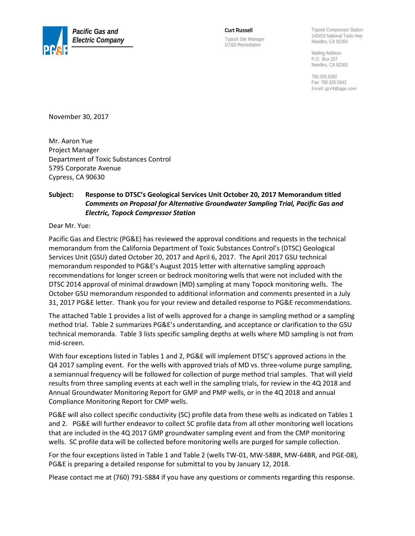

**Curt Russell**  Topock Site Manager GT&D Remediation

Topock Compressor Station 145453 National Trails Hwy Needles, CA 92363

Mailing Address P.O. Box 337 Needles, CA 92363

760.326.5582 Fax: 760.326.5542 Email[: gcr4@pge.com](mailto:gcr4@pge.com)

November 30, 2017

Mr. Aaron Yue Project Manager Department of Toxic Substances Control 5795 Corporate Avenue Cypress, CA 90630

#### **Subject: Response to DTSC's Geological Services Unit October 20, 2017 Memorandum titled**  *Comments on Proposal for Alternative Groundwater Sampling Trial, Pacific Gas and Electric, Topock Compressor Station*

Dear Mr. Yue:

Pacific Gas and Electric (PG&E) has reviewed the approval conditions and requests in the technical memorandum from the California Department of Toxic Substances Control's (DTSC) Geological Services Unit (GSU) dated October 20, 2017 and April 6, 2017. The April 2017 GSU technical memorandum responded to PG&E's August 2015 letter with alternative sampling approach recommendations for longer screen or bedrock monitoring wells that were not included with the DTSC 2014 approval of minimal drawdown (MD) sampling at many Topock monitoring wells. The October GSU memorandum responded to additional information and comments presented in a July 31, 2017 PG&E letter. Thank you for your review and detailed response to PG&E recommendations.

The attached Table 1 provides a list of wells approved for a change in sampling method or a sampling method trial. Table 2 summarizes PG&E's understanding, and acceptance or clarification to the GSU technical memoranda. Table 3 lists specific sampling depths at wells where MD sampling is not from mid-screen.

With four exceptions listed in Tables 1 and 2, PG&E will implement DTSC's approved actions in the Q4 2017 sampling event. For the wells with approved trials of MD vs. three-volume purge sampling, a semiannual frequency will be followed for collection of purge method trial samples. That will yield results from three sampling events at each well in the sampling trials, for review in the 4Q 2018 and Annual Groundwater Monitoring Report for GMP and PMP wells, or in the 4Q 2018 and annual Compliance Monitoring Report for CMP wells.

PG&E will also collect specific conductivity (SC) profile data from these wells as indicated on Tables 1 and 2. PG&E will further endeavor to collect SC profile data from all other monitoring well locations that are included in the 4Q 2017 GMP groundwater sampling event and from the CMP monitoring wells. SC profile data will be collected before monitoring wells are purged for sample collection.

For the four exceptions listed in Table 1 and Table 2 (wells TW-01, MW-58BR, MW-64BR, and PGE-08), PG&E is preparing a detailed response for submittal to you by January 12, 2018.

Please contact me at (760) 791-5884 if you have any questions or comments regarding this response.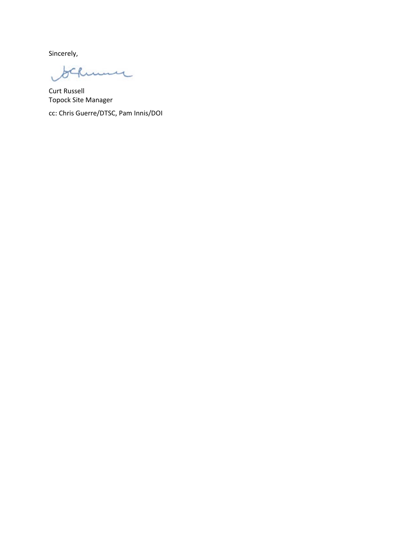Sincerely,

 $ACR$ ume

Curt Russell Topock Site Manager

cc: Chris Guerre/DTSC, Pam Innis/DOI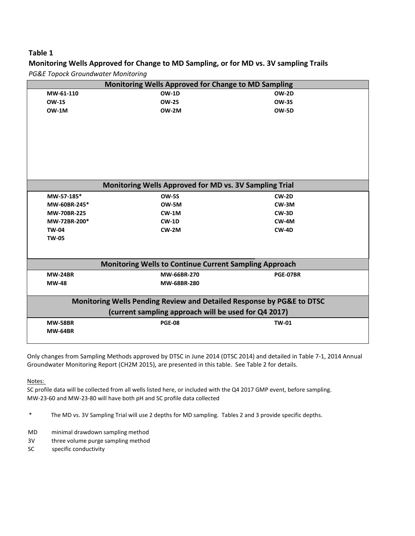#### **Monitoring Wells Approved for Change to MD Sampling, or for MD vs. 3V sampling Trails** *PG&E Topock Groundwater Monitoring*

|                                | Monitoring Wells Approved for Change to MD Sampling                   |              |  |
|--------------------------------|-----------------------------------------------------------------------|--------------|--|
| MW-61-110                      | <b>OW-1D</b>                                                          | <b>OW-2D</b> |  |
| <b>OW-1S</b>                   | <b>OW-2S</b>                                                          | <b>OW-3S</b> |  |
| OW-1M                          | OW-2M                                                                 | <b>OW-5D</b> |  |
|                                |                                                                       |              |  |
|                                |                                                                       |              |  |
|                                |                                                                       |              |  |
|                                |                                                                       |              |  |
|                                | Monitoring Wells Approved for MD vs. 3V Sampling Trial                |              |  |
| MW-57-185*                     | <b>OW-5S</b>                                                          | $CW-2D$      |  |
| MW-60BR-245*                   | OW-5M                                                                 | CW-3M        |  |
| MW-70BR-225                    | $CW-1M$                                                               | $CW-3D$      |  |
| MW-72BR-200*                   | $CW-1D$                                                               | $CW-4M$      |  |
| <b>TW-04</b>                   | $CW-2M$                                                               | $CW-4D$      |  |
| <b>TW-05</b>                   |                                                                       |              |  |
|                                |                                                                       |              |  |
|                                | <b>Monitoring Wells to Continue Current Sampling Approach</b>         |              |  |
|                                |                                                                       |              |  |
|                                | MW-66BR-270                                                           | PGE-07BR     |  |
|                                | MW-68BR-280                                                           |              |  |
| <b>MW-24BR</b><br><b>MW-48</b> | Monitoring Wells Pending Review and Detailed Response by PG&E to DTSC |              |  |
|                                | (current sampling approach will be used for Q4 2017)                  |              |  |
| <b>MW-58BR</b>                 | <b>PGE-08</b>                                                         | <b>TW-01</b> |  |

Only changes from Sampling Methods approved by DTSC in June 2014 (DTSC 2014) and detailed in Table 7-1, 2014 Annual Groundwater Monitoring Report (CH2M 2015), are presented in this table. See Table 2 for details.

Notes:

SC profile data will be collected from all wells listed here, or included with the Q4 2017 GMP event, before sampling. MW-23-60 and MW-23-80 will have both pH and SC profile data collected

\* The MD vs. 3V Sampling Trial will use 2 depths for MD sampling. Tables 2 and 3 provide specific depths.

- MD minimal drawdown sampling method
- 3V three volume purge sampling method
- SC specific conductivity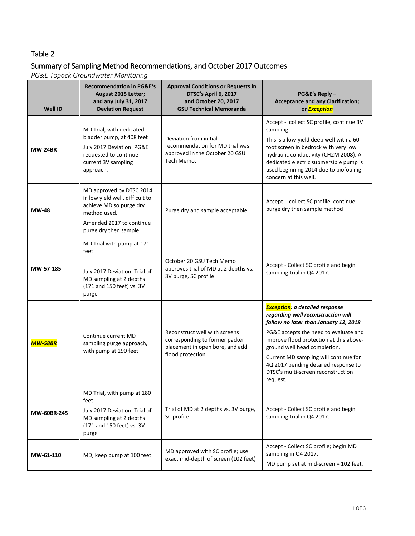## Summary of Sampling Method Recommendations, and October 2017 Outcomes

*PG&E Topock Groundwater Monitoring*

| <b>Well ID</b> | <b>Recommendation in PG&amp;E's</b><br>August 2015 Letter;<br>and any July 31, 2017<br><b>Deviation Request</b>                                             | <b>Approval Conditions or Requests in</b><br>DTSC's April 6, 2017<br>and October 20, 2017<br><b>GSU Technical Memoranda</b> | PG&E's Reply -<br><b>Acceptance and any Clarification;</b><br>or <b>Exception</b>                                                                                                                                                                                                                                                                                            |
|----------------|-------------------------------------------------------------------------------------------------------------------------------------------------------------|-----------------------------------------------------------------------------------------------------------------------------|------------------------------------------------------------------------------------------------------------------------------------------------------------------------------------------------------------------------------------------------------------------------------------------------------------------------------------------------------------------------------|
| <b>MW-24BR</b> | MD Trial, with dedicated<br>bladder pump, at 408 feet<br>July 2017 Deviation: PG&E<br>requested to continue<br>current 3V sampling<br>approach.             | Deviation from initial<br>recommendation for MD trial was<br>approved in the October 20 GSU<br>Tech Memo.                   | Accept - collect SC profile, continue 3V<br>sampling<br>This is a low-yield deep well with a 60-<br>foot screen in bedrock with very low<br>hydraulic conductivity (CH2M 2008). A<br>dedicated electric submersible pump is<br>used beginning 2014 due to biofouling<br>concern at this well.                                                                                |
| <b>MW-48</b>   | MD approved by DTSC 2014<br>in low yield well, difficult to<br>achieve MD so purge dry<br>method used.<br>Amended 2017 to continue<br>purge dry then sample | Purge dry and sample acceptable                                                                                             | Accept - collect SC profile, continue<br>purge dry then sample method                                                                                                                                                                                                                                                                                                        |
| MW-57-185      | MD Trial with pump at 171<br>feet<br>July 2017 Deviation: Trial of<br>MD sampling at 2 depths<br>(171 and 150 feet) vs. 3V<br>purge                         | October 20 GSU Tech Memo<br>approves trial of MD at 2 depths vs.<br>3V purge, SC profile                                    | Accept - Collect SC profile and begin<br>sampling trial in Q4 2017.                                                                                                                                                                                                                                                                                                          |
| <b>MW-58BR</b> | Continue current MD<br>sampling purge approach,<br>with pump at 190 feet                                                                                    | Reconstruct well with screens<br>corresponding to former packer<br>placement in open bore, and add<br>flood protection      | <b>Exception</b> : a detailed response<br>regarding well reconstruction will<br>follow no later than January 12, 2018<br>PG&E accepts the need to evaluate and<br>improve flood protection at this above-<br>ground well head completion.<br>Current MD sampling will continue for<br>4Q 2017 pending detailed response to<br>DTSC's multi-screen reconstruction<br>request. |
| MW-60BR-245    | MD Trial, with pump at 180<br>feet<br>July 2017 Deviation: Trial of<br>MD sampling at 2 depths<br>(171 and 150 feet) vs. 3V<br>purge                        | Trial of MD at 2 depths vs. 3V purge,<br>SC profile                                                                         | Accept - Collect SC profile and begin<br>sampling trial in Q4 2017.                                                                                                                                                                                                                                                                                                          |
| MW-61-110      | MD, keep pump at 100 feet                                                                                                                                   | MD approved with SC profile; use<br>exact mid-depth of screen (102 feet)                                                    | Accept - Collect SC profile; begin MD<br>sampling in Q4 2017.<br>MD pump set at mid-screen = 102 feet.                                                                                                                                                                                                                                                                       |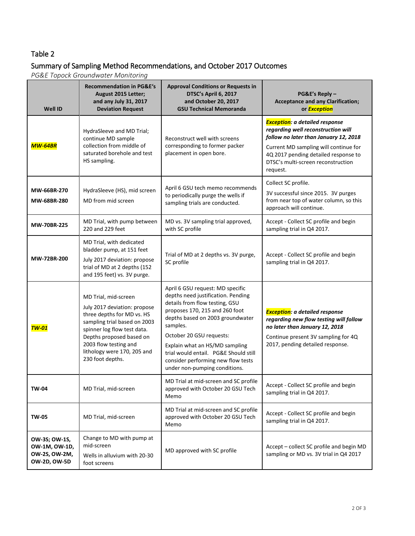## Summary of Sampling Method Recommendations, and October 2017 Outcomes

*PG&E Topock Groundwater Monitoring*

| <b>Well ID</b>                                                         | <b>Recommendation in PG&amp;E's</b><br>August 2015 Letter;<br>and any July 31, 2017<br><b>Deviation Request</b>                                                                                                                                           | <b>Approval Conditions or Requests in</b><br>DTSC's April 6, 2017<br>and October 20, 2017<br><b>GSU Technical Memoranda</b>                                                                                                                                                                                                                                              | PG&E's Reply -<br><b>Acceptance and any Clarification;</b><br>or <b>Exception</b>                                                                                                                                                                        |
|------------------------------------------------------------------------|-----------------------------------------------------------------------------------------------------------------------------------------------------------------------------------------------------------------------------------------------------------|--------------------------------------------------------------------------------------------------------------------------------------------------------------------------------------------------------------------------------------------------------------------------------------------------------------------------------------------------------------------------|----------------------------------------------------------------------------------------------------------------------------------------------------------------------------------------------------------------------------------------------------------|
| <b>MW-64BR</b>                                                         | HydraSleeve and MD Trial;<br>continue MD sample<br>collection from middle of<br>saturated borehole and test<br>HS sampling.                                                                                                                               | Reconstruct well with screens<br>corresponding to former packer<br>placement in open bore.                                                                                                                                                                                                                                                                               | <b>Exception</b> : a detailed response<br>regarding well reconstruction will<br>follow no later than January 12, 2018<br>Current MD sampling will continue for<br>4Q 2017 pending detailed response to<br>DTSC's multi-screen reconstruction<br>request. |
| MW-66BR-270<br>MW-68BR-280                                             | HydraSleeve (HS), mid screen<br>MD from mid screen                                                                                                                                                                                                        | April 6 GSU tech memo recommends<br>to periodically purge the wells if<br>sampling trials are conducted.                                                                                                                                                                                                                                                                 | Collect SC profile.<br>3V successful since 2015. 3V purges<br>from near top of water column, so this<br>approach will continue.                                                                                                                          |
| <b>MW-70BR-225</b>                                                     | MD Trial, with pump between<br>220 and 229 feet                                                                                                                                                                                                           | MD vs. 3V sampling trial approved,<br>with SC profile                                                                                                                                                                                                                                                                                                                    | Accept - Collect SC profile and begin<br>sampling trial in Q4 2017.                                                                                                                                                                                      |
| MW-72BR-200                                                            | MD Trial, with dedicated<br>bladder pump, at 151 feet<br>July 2017 deviation: propose<br>trial of MD at 2 depths (152<br>and 195 feet) vs. 3V purge.                                                                                                      | Trial of MD at 2 depths vs. 3V purge,<br>SC profile                                                                                                                                                                                                                                                                                                                      | Accept - Collect SC profile and begin<br>sampling trial in Q4 2017.                                                                                                                                                                                      |
| <b>TW-01</b>                                                           | MD Trial, mid-screen<br>July 2017 deviation: propose<br>three depths for MD vs. HS<br>sampling trial based on 2003<br>spinner log flow test data.<br>Depths proposed based on<br>2003 flow testing and<br>lithology were 170, 205 and<br>230 foot depths. | April 6 GSU request: MD specific<br>depths need justification. Pending<br>details from flow testing, GSU<br>proposes 170, 215 and 260 foot<br>depths based on 2003 groundwater<br>samples.<br>October 20 GSU requests:<br>Explain what an HS/MD sampling<br>trial would entail. PG&E Should still<br>consider performing new flow tests<br>under non-pumping conditions. | <b>Exception</b> : a detailed response<br>regarding new flow testing will follow<br>no later than January 12, 2018<br>Continue present 3V sampling for 4Q<br>2017, pending detailed response.                                                            |
| <b>TW-04</b>                                                           | MD Trial, mid-screen                                                                                                                                                                                                                                      | MD Trial at mid-screen and SC profile<br>approved with October 20 GSU Tech<br>Memo                                                                                                                                                                                                                                                                                       | Accept - Collect SC profile and begin<br>sampling trial in Q4 2017.                                                                                                                                                                                      |
| <b>TW-05</b>                                                           | MD Trial, mid-screen                                                                                                                                                                                                                                      | MD Trial at mid-screen and SC profile<br>approved with October 20 GSU Tech<br>Memo                                                                                                                                                                                                                                                                                       | Accept - Collect SC profile and begin<br>sampling trial in Q4 2017.                                                                                                                                                                                      |
| OW-3S; OW-1S,<br>OW-1M, OW-1D,<br>OW-2S, OW-2M,<br><b>OW-2D, OW-5D</b> | Change to MD with pump at<br>mid-screen<br>Wells in alluvium with 20-30<br>foot screens                                                                                                                                                                   | MD approved with SC profile                                                                                                                                                                                                                                                                                                                                              | Accept - collect SC profile and begin MD<br>sampling or MD vs. 3V trial in Q4 2017                                                                                                                                                                       |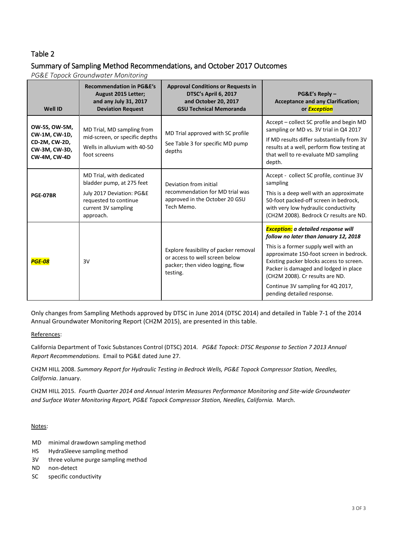## Summary of Sampling Method Recommendations, and October 2017 Outcomes

*PG&E Topock Groundwater Monitoring*

| <b>Well ID</b>                                                                          | <b>Recommendation in PG&amp;E's</b><br>August 2015 Letter;<br>and any July 31, 2017<br><b>Deviation Request</b>                                 | <b>Approval Conditions or Requests in</b><br>DTSC's April 6, 2017<br>and October 20, 2017<br><b>GSU Technical Memoranda</b> | PG&E's Reply-<br><b>Acceptance and any Clarification;</b><br>or <b>Exception</b>                                                                                                                                                                                                                                                                                  |
|-----------------------------------------------------------------------------------------|-------------------------------------------------------------------------------------------------------------------------------------------------|-----------------------------------------------------------------------------------------------------------------------------|-------------------------------------------------------------------------------------------------------------------------------------------------------------------------------------------------------------------------------------------------------------------------------------------------------------------------------------------------------------------|
| OW-5S, OW-5M,<br>CW-1M, CW-1D,<br>CD-2M, CW-2D,<br>CW-3M, CW-3D,<br><b>CW-4M, CW-4D</b> | MD Trial, MD sampling from<br>mid-screen, or specific depths<br>Wells in alluvium with 40-50<br>foot screens                                    | MD Trial approved with SC profile<br>See Table 3 for specific MD pump<br>depths                                             | Accept – collect SC profile and begin MD<br>sampling or MD vs. 3V trial in Q4 2017<br>If MD results differ substantially from 3V<br>results at a well, perform flow testing at<br>that well to re-evaluate MD sampling<br>depth.                                                                                                                                  |
| <b>PGE-07BR</b>                                                                         | MD Trial, with dedicated<br>bladder pump, at 275 feet<br>July 2017 Deviation: PG&E<br>requested to continue<br>current 3V sampling<br>approach. | Deviation from initial<br>recommendation for MD trial was<br>approved in the October 20 GSU<br>Tech Memo.                   | Accept - collect SC profile, continue 3V<br>sampling<br>This is a deep well with an approximate<br>50-foot packed-off screen in bedrock,<br>with very low hydraulic conductivity<br>(CH2M 2008). Bedrock Cr results are ND.                                                                                                                                       |
| <b>PGE-08</b>                                                                           | 3V                                                                                                                                              | Explore feasibility of packer removal<br>or access to well screen below<br>packer; then video logging, flow<br>testing.     | <b>Exception:</b> a detailed response will<br>follow no later than January 12, 2018<br>This is a former supply well with an<br>approximate 150-foot screen in bedrock.<br>Existing packer blocks access to screen.<br>Packer is damaged and lodged in place<br>(CH2M 2008). Cr results are ND.<br>Continue 3V sampling for 4Q 2017,<br>pending detailed response. |

Only changes from Sampling Methods approved by DTSC in June 2014 (DTSC 2014) and detailed in Table 7-1 of the 2014 Annual Groundwater Monitoring Report (CH2M 2015), are presented in this table.

#### References:

California Department of Toxic Substances Control (DTSC) 2014. *PG&E Topock: DTSC Response to Section 7 2013 Annual Report Recommendations.* Email to PG&E dated June 27.

CH2M HILL 2008. *Summary Report for Hydraulic Testing in Bedrock Wells, PG&E Topock Compressor Station, Needles, California*. January.

CH2M HILL 2015. *Fourth Quarter 2014 and Annual Interim Measures Performance Monitoring and Site-wide Groundwater and Surface Water Monitoring Report, PG&E Topock Compressor Station, Needles, California.* March.

Notes:

- MD minimal drawdown sampling method
- HS HydraSleeve sampling method
- 3V three volume purge sampling method
- ND non-detect
- SC specific conductivity